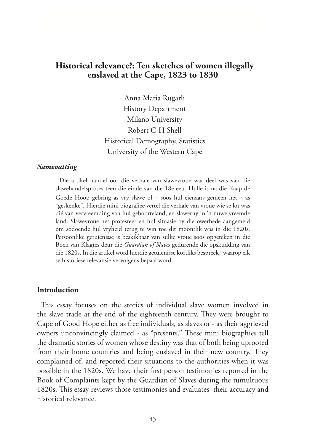# **Historical relevance?: Ten sketches of women illegally enslaved at the Cape, 1823 to 1830**

Anna Maria Rugarli History Department Milano University Robert C-H Shell Historical Demography, Statistics University of the Western Cape

#### *Samevatting*

Die artikel handel oor die verhale van slawevroue wat deel was van die slawehandelsproses teen die einde van die 18e eeu. Hulle is na die Kaap de Goede Hoop gebring as vry slawe of - soos hul eienaars gemeen het - as "geskenke". Hierdie mini biografieë vertel die verhale van vroue wie se lot was dié van vervreemding van hul geboorteland, en slawerny in 'n nuwe vreemde land. Slawevroue het protesteer en hul situasie by die owerhede aangemeld om sodoende hul vryheid terug te win toe dit moontlik was in die 1820s. Persoonlike getuienisse is beskikbaar van sulke vroue soos opgeteken in die Boek van Klagtes deur die *Guardian of Slaves* gedurende die opskudding van die 1820s. In die artikel word hierdie getuienisse kortliks bespreek, waarop elk se historiese relevansie vervolgens bepaal word.

#### **Introduction**

This essay focuses on the stories of individual slave women involved in the slave trade at the end of the eighteenth century. They were brought to Cape of Good Hope either as free individuals, as slaves or - as their aggrieved owners unconvincingly claimed - as "presents." These mini biographies tell the dramatic stories of women whose destiny was that of both being uprooted from their home countries and being enslaved in their new country. They complained of, and reported their situations to the authorities when it was possible in the 1820s. We have their first person testimonies reported in the Book of Complaints kept by the Guardian of Slaves during the tumultuous 1820s. This essay reviews those testimonies and evaluates their accuracy and historical relevance.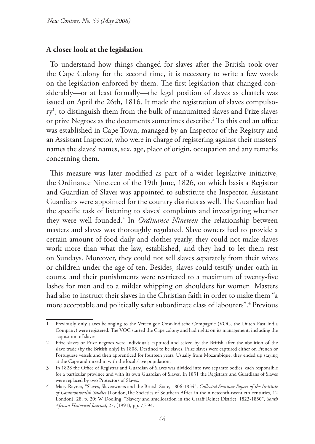## **A closer look at the legislation**

To understand how things changed for slaves after the British took over the Cape Colony for the second time, it is necessary to write a few words on the legislation enforced by them. The first legislation that changed considerably—or at least formally—the legal position of slaves as chattels was issued on April the 26th, 1816. It made the registration of slaves compulsory1 , to distinguish them from the bulk of manumitted slaves and Prize slaves or prize Negroes as the documents sometimes describe.2 To this end an office was established in Cape Town, managed by an Inspector of the Registry and an Assistant Inspector, who were in charge of registering against their masters' names the slaves' names, sex, age, place of origin, occupation and any remarks concerning them.

This measure was later modified as part of a wider legislative initiative, the Ordinance Nineteen of the 19th June, 1826, on which basis a Registrar and Guardian of Slaves was appointed to substitute the Inspector. Assistant Guardians were appointed for the country districts as well. The Guardian had the specific task of listening to slaves' complaints and investigating whether they were well founded.3 In *Ordinance Nineteen* the relationship between masters and slaves was thoroughly regulated. Slave owners had to provide a certain amount of food daily and clothes yearly, they could not make slaves work more than what the law, established, and they had to let them rest on Sundays. Moreover, they could not sell slaves separately from their wives or children under the age of ten. Besides, slaves could testify under oath in courts, and their punishments were restricted to a maximum of twenty-five lashes for men and to a milder whipping on shoulders for women. Masters had also to instruct their slaves in the Christian faith in order to make them "a more acceptable and politically safer subordinate class of labourers".<sup>4</sup> Previous

Previously only slaves belonging to the Vereenigde Oost-Indische Compagnie (VOC, the Dutch East India Company) were registered. The VOC started the Cape colony and had rights on its management, including the acquisition of slaves.

<sup>2</sup> Prize slaves or Prize negroes were individuals captured and seized by the British after the abolition of the slave trade (by the British only) in 1808. Destined to be slaves, Prize slaves were captured either on French or Portuguese vessels and then apprenticed for fourteen years. Usually from Mozambique, they ended up staying at the Cape and mixed in with the local slave population,

<sup>3</sup> In 1828 the Office of Registrar and Guardian of Slaves was divided into two separate bodies, each responsible for a particular province and with its own Guardian of Slaves. In 1831 the Registrars and Guardians of Slaves were replaced by two Protectors of Slaves.

<sup>4</sup> Mary Rayner, "Slaves, Slaveowners and the British State, 1806-1834", *Collected Seminar Papers of the Institute of Commonwealth Studies* (London,The Societies of Southern Africa in the nineteenth-twentieth centuries, 12 London), 28, p. 20; W Dooling, "Slavery and amelioration in the Graaff Reinet District, 1823-1830", *South African Historical Journal*, 27, (1991), pp. 75-94.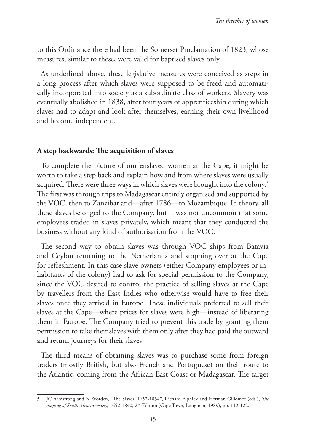to this Ordinance there had been the Somerset Proclamation of 1823, whose measures, similar to these, were valid for baptised slaves only.

As underlined above, these legislative measures were conceived as steps in a long process after which slaves were supposed to be freed and automatically incorporated into society as a subordinate class of workers. Slavery was eventually abolished in 1838, after four years of apprenticeship during which slaves had to adapt and look after themselves, earning their own livelihood and become independent.

### **A step backwards: The acquisition of slaves**

To complete the picture of our enslaved women at the Cape, it might be worth to take a step back and explain how and from where slaves were usually acquired. There were three ways in which slaves were brought into the colony.<sup>5</sup> The first was through trips to Madagascar entirely organised and supported by the VOC, then to Zanzibar and—after 1786—to Mozambique. In theory, all these slaves belonged to the Company, but it was not uncommon that some employees traded in slaves privately, which meant that they conducted the business without any kind of authorisation from the VOC.

The second way to obtain slaves was through VOC ships from Batavia and Ceylon returning to the Netherlands and stopping over at the Cape for refreshment. In this case slave owners (either Company employees or inhabitants of the colony) had to ask for special permission to the Company, since the VOC desired to control the practice of selling slaves at the Cape by travellers from the East Indies who otherwise would have to free their slaves once they arrived in Europe. These individuals preferred to sell their slaves at the Cape—where prices for slaves were high—instead of liberating them in Europe. The Company tried to prevent this trade by granting them permission to take their slaves with them only after they had paid the outward and return journeys for their slaves.

The third means of obtaining slaves was to purchase some from foreign traders (mostly British, but also French and Portuguese) on their route to the Atlantic, coming from the African East Coast or Madagascar. The target

<sup>5</sup> JC Armstrong and N Worden, "The Slaves, 1652-1834", Richard Elphick and Herman Giliomee (eds.), *The shaping of South African society*, 1652-1840, 2nd Edition (Cape Town, Longman, 1989), pp. 112-122.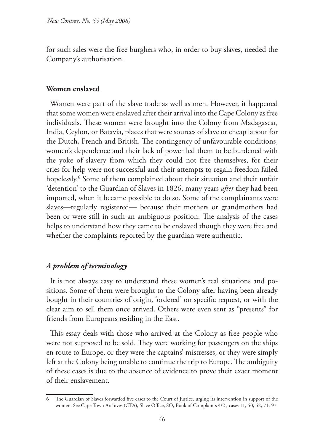for such sales were the free burghers who, in order to buy slaves, needed the Company's authorisation.

### **Women enslaved**

Women were part of the slave trade as well as men. However, it happened that some women were enslaved after their arrival into the Cape Colony as free individuals. These women were brought into the Colony from Madagascar, India, Ceylon, or Batavia, places that were sources of slave or cheap labour for the Dutch, French and British. The contingency of unfavourable conditions, women's dependence and their lack of power led them to be burdened with the yoke of slavery from which they could not free themselves, for their cries for help were not successful and their attempts to regain freedom failed hopelessly.6 Some of them complained about their situation and their unfair 'detention' to the Guardian of Slaves in 1826, many years *after* they had been imported, when it became possible to do so. Some of the complainants were slaves—regularly registered— because their mothers or grandmothers had been or were still in such an ambiguous position. The analysis of the cases helps to understand how they came to be enslaved though they were free and whether the complaints reported by the guardian were authentic.

## *A problem of terminology*

It is not always easy to understand these women's real situations and positions. Some of them were brought to the Colony after having been already bought in their countries of origin, 'ordered' on specific request, or with the clear aim to sell them once arrived. Others were even sent as "presents" for friends from Europeans residing in the East.

This essay deals with those who arrived at the Colony as free people who were not supposed to be sold. They were working for passengers on the ships en route to Europe, or they were the captains' mistresses, or they were simply left at the Colony being unable to continue the trip to Europe. The ambiguity of these cases is due to the absence of evidence to prove their exact moment of their enslavement.

<sup>6</sup> The Guardian of Slaves forwarded five cases to the Court of Justice, urging its intervention in support of the women. See Cape Town Archives (CTA), Slave Office, SO, Book of Complaints 4/2 , cases 11, 50, 52, 71, 97.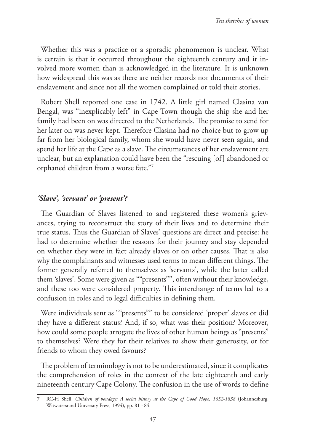Whether this was a practice or a sporadic phenomenon is unclear. What is certain is that it occurred throughout the eighteenth century and it involved more women than is acknowledged in the literature. It is unknown how widespread this was as there are neither records nor documents of their enslavement and since not all the women complained or told their stories.

Robert Shell reported one case in 1742. A little girl named Clasina van Bengal, was "inexplicably left" in Cape Town though the ship she and her family had been on was directed to the Netherlands. The promise to send for her later on was never kept. Therefore Clasina had no choice but to grow up far from her biological family, whom she would have never seen again, and spend her life at the Cape as a slave. The circumstances of her enslavement are unclear, but an explanation could have been the "rescuing [of] abandoned or orphaned children from a worse fate."7

## *'Slave', 'servant' or 'present'?*

The Guardian of Slaves listened to and registered these women's grievances, trying to reconstruct the story of their lives and to determine their true status. Thus the Guardian of Slaves' questions are direct and precise: he had to determine whether the reasons for their journey and stay depended on whether they were in fact already slaves or on other causes. That is also why the complainants and witnesses used terms to mean different things. The former generally referred to themselves as 'servants', while the latter called them 'slaves'. Some were given as ""presents"", often without their knowledge, and these too were considered property. This interchange of terms led to a confusion in roles and to legal difficulties in defining them.

Were individuals sent as ""presents"" to be considered 'proper' slaves or did they have a different status? And, if so, what was their position? Moreover, how could some people arrogate the lives of other human beings as "presents" to themselves? Were they for their relatives to show their generosity, or for friends to whom they owed favours?

The problem of terminology is not to be underestimated, since it complicates the comprehension of roles in the context of the late eighteenth and early nineteenth century Cape Colony. The confusion in the use of words to define

<sup>7</sup> RC-H Shell, *Children of bondage: A social history at the Cape of Good Hope, 1652-1838* (Johannesburg, Witwatersrand University Press, 1994), pp. 81 - 84.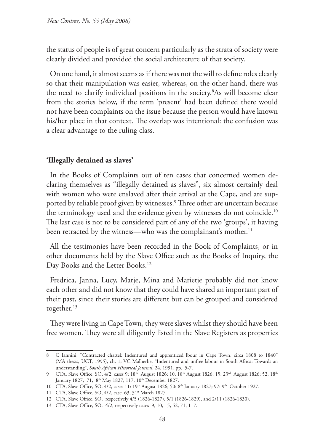the status of people is of great concern particularly as the strata of society were clearly divided and provided the social architecture of that society.

On one hand, it almost seems as if there was not the will to define roles clearly so that their manipulation was easier, whereas, on the other hand, there was the need to clarify individual positions in the society.8 As will become clear from the stories below, if the term 'present' had been defined there would not have been complaints on the issue because the person would have known his/her place in that context. The overlap was intentional: the confusion was a clear advantage to the ruling class.

#### **'Illegally detained as slaves'**

In the Books of Complaints out of ten cases that concerned women declaring themselves as "illegally detained as slaves", six almost certainly deal with women who were enslaved after their arrival at the Cape, and are supported by reliable proof given by witnesses.<sup>9</sup> Three other are uncertain because the terminology used and the evidence given by witnesses do not coincide.<sup>10</sup> The last case is not to be considered part of any of the two 'groups', it having been retracted by the witness—who was the complainant's mother.<sup>11</sup>

All the testimonies have been recorded in the Book of Complaints, or in other documents held by the Slave Office such as the Books of Inquiry, the Day Books and the Letter Books.<sup>12</sup>

Fredrica, Janna, Lucy, Marje, Mina and Marietje probably did not know each other and did not know that they could have shared an important part of their past, since their stories are different but can be grouped and considered together.<sup>13</sup>

They were living in Cape Town, they were slaves whilst they should have been free women. They were all diligently listed in the Slave Registers as properties

<sup>8</sup> C Iannini, "Contracted chattel: Indentured and apprenticed lbour in Cape Town, circa 1808 to 1840" (MA thesis, UCT, 1995), ch. 1; VC Malherbe, "Indentured and unfree labour in South Africa: Towards an understanding", *South African Historical Journal*, 24, 1991, pp. 5-7.

<sup>9</sup> CTA, Slave Office, SO, 4/2, cases 9; 18<sup>th</sup> August 1826; 10, 18<sup>th</sup> August 1826; 15: 23<sup>rd</sup> August 1826; 52, 18<sup>th</sup> January 1827; 71, 8<sup>th</sup> May 1827; 117, 10<sup>th</sup> December 1827.

<sup>10</sup> CTA, Slave Office, SO, 4/2, cases 11: 19th August 1826; 50: 8th January 1827; 97: 9th October 1927.

<sup>11</sup> CTA, Slave Office, SO, 4/2, case 63, 31<sup>st</sup> March 1827.

<sup>12</sup> CTA, Slave Office, SO, respectively 4/5 (1826-1827), 5/1 (1826-1829), and 2/11 (1826-1830).

<sup>13</sup> CTA, Slave Office, SO, 4/2, respectively cases 9, 10, 15, 52, 71, 117.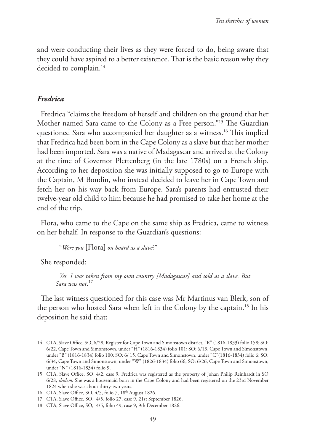and were conducting their lives as they were forced to do, being aware that they could have aspired to a better existence. That is the basic reason why they decided to complain.<sup>14</sup>

#### *Fredrica*

Fredrica "claims the freedom of herself and children on the ground that her Mother named Sara came to the Colony as a Free person."15 The Guardian questioned Sara who accompanied her daughter as a witness.16 This implied that Fredrica had been born in the Cape Colony as a slave but that her mother had been imported. Sara was a native of Madagascar and arrived at the Colony at the time of Governor Plettenberg (in the late 1780s) on a French ship. According to her deposition she was initially supposed to go to Europe with the Captain, M Boudin, who instead decided to leave her in Cape Town and fetch her on his way back from Europe. Sara's parents had entrusted their twelve-year old child to him because he had promised to take her home at the end of the trip.

Flora, who came to the Cape on the same ship as Fredrica, came to witness on her behalf. In response to the Guardian's questions:

"*Were you* [Flora] *on board as a slave*?"

She responded:

*Yes. I was taken from my own country [Madagascar] and sold as a slave. But Sara was not*. 17

The last witness questioned for this case was Mr Martinus van Blerk, son of the person who hosted Sara when left in the Colony by the captain.<sup>18</sup> In his deposition he said that:

<sup>14</sup> CTA, Slave Office, SO, 6/28, Register for Cape Town and Simonstown district, "R" (1816-1833) folio 158; SO: 6/22, Cape Town and Simonstown, under "H" (1816-1834) folio 101; SO: 6/13, Cape Town and Simonstown, under "B" (1816-1834) folio 100; SO: 6/ 15, Cape Town and Simonstown, under "C"(1816-1834) folio 6; SO: 6/34, Cape Town and Simonstown, under "W" (1826-1834) folio 66; SO: 6/26, Cape Town and Simonstown, under "N" (1816-1834) folio 9.

<sup>15</sup> CTA, Slave Office, SO, 4/2, case 9. Fredrica was registered as the property of Johan Philip Reinhardt in SO 6/28, *ibidem.* She was a housemaid born in the Cape Colony and had been registered on the 23rd November 1824 when she was about thirty-two years.

<sup>16</sup> CTA, Slave Office, SO, 4/5, folio 7, 18th August 1826.

<sup>17</sup> CTA, Slave Office, SO, 4/5, folio 27, case 9, 21st September 1826.

<sup>18</sup> CTA, Slave Office, SO, 4/5, folio 49, case 9, 9th December 1826.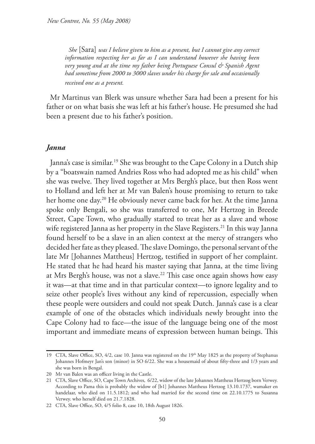*She* [Sara] *was I believe given to him as a present, but I cannot give any correct information respecting her as far as I can understand however she having been very young and at the time my father being Portuguese Consul & Spanish Agent had sometime from 2000 to 3000 slaves under his charge for sale and occasionally received one as a present.* 

Mr Martinus van Blerk was unsure whether Sara had been a present for his father or on what basis she was left at his father's house. He presumed she had been a present due to his father's position.

### *Janna*

Janna's case is similar.<sup>19</sup> She was brought to the Cape Colony in a Dutch ship by a "boatswain named Andries Ross who had adopted me as his child" when she was twelve. They lived together at Mrs Bergh's place, but then Ross went to Holland and left her at Mr van Balen's house promising to return to take her home one day.<sup>20</sup> He obviously never came back for her. At the time Janna spoke only Bengali, so she was transferred to one, Mr Hertzog in Breede Street, Cape Town, who gradually started to treat her as a slave and whose wife registered Janna as her property in the Slave Registers.<sup>21</sup> In this way Janna found herself to be a slave in an alien context at the mercy of strangers who decided her fate as they pleased. The slave Domingo, the personal servant of the late Mr [Johannes Mattheus] Hertzog, testified in support of her complaint. He stated that he had heard his master saying that Janna, at the time living at Mrs Bergh's house, was not a slave.<sup>22</sup> This case once again shows how easy it was—at that time and in that particular context—to ignore legality and to seize other people's lives without any kind of repercussion, especially when these people were outsiders and could not speak Dutch. Janna's case is a clear example of one of the obstacles which individuals newly brought into the Cape Colony had to face—the issue of the language being one of the most important and immediate means of expression between human beings. This

<sup>19</sup> CTA, Slave Office, SO, 4/2, case 10. Janna was registered on the 19th May 1825 as the property of Stephanus Johannes Hofmeyr Jan's son (minor) in SO 6/22. She was a housemaid of about fifty-three and 1/3 years and she was born in Bengal.

<sup>20</sup> Mr van Balen was an officer living in the Castle.

<sup>21</sup> CTA, Slave Office, SO, Cape Town Archives, 6/22, widow of the late Johannes Mattheus Hertzog born Verwey. According to Pama this is probably the widow of [b1] Johannes Mattheus Hertzog 13.10.1737, wamaker en handelaar, who died on 11.5.1812; and who had married for the second time on 22.10.1775 to Susanna Verwey. who herself died on 21.7.1828.

<sup>22</sup> CTA, Slave Office, SO, 4/5 folio 8, case 10, 18th August 1826.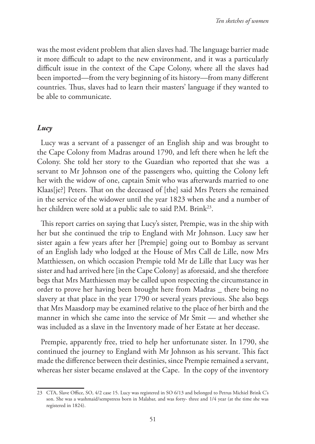was the most evident problem that alien slaves had. The language barrier made it more difficult to adapt to the new environment, and it was a particularly difficult issue in the context of the Cape Colony, where all the slaves had been imported—from the very beginning of its history—from many different countries. Thus, slaves had to learn their masters' language if they wanted to be able to communicate.

#### *Lucy*

Lucy was a servant of a passenger of an English ship and was brought to the Cape Colony from Madras around 1790, and left there when he left the Colony. She told her story to the Guardian who reported that she was a servant to Mr Johnson one of the passengers who, quitting the Colony left her with the widow of one, captain Smit who was afterwards married to one Klaas[je?] Peters. That on the deceased of [the] said Mrs Peters she remained in the service of the widower until the year 1823 when she and a number of her children were sold at a public sale to said P.M. Brink<sup>23</sup>.

This report carries on saying that Lucy's sister, Prempie, was in the ship with her but she continued the trip to England with Mr Johnson. Lucy saw her sister again a few years after her [Prempie] going out to Bombay as servant of an English lady who lodged at the House of Mrs Call de Lille, now Mrs Matthiessen, on which occasion Prempie told Mr de Lille that Lucy was her sister and had arrived here [in the Cape Colony] as aforesaid, and she therefore begs that Mrs Matthiessen may be called upon respecting the circumstance in order to prove her having been brought here from Madras \_ there being no slavery at that place in the year 1790 or several years previous. She also begs that Mrs Maasdorp may be examined relative to the place of her birth and the manner in which she came into the service of Mr Smit — and whether she was included as a slave in the Inventory made of her Estate at her decease.

Prempie, apparently free, tried to help her unfortunate sister. In 1790, she continued the journey to England with Mr Johnson as his servant. This fact made the difference between their destinies, since Prempie remained a servant, whereas her sister became enslaved at the Cape. In the copy of the inventory

<sup>23</sup> CTA, Slave Office, SO, 4/2 case 15. Lucy was registered in SO 6/13 and belonged to Petrus Michiel Brink C's son. She was a washmaid/sempstress born in Malabar, and was forty- three and 1/4 year (at the time she was registered in 1824).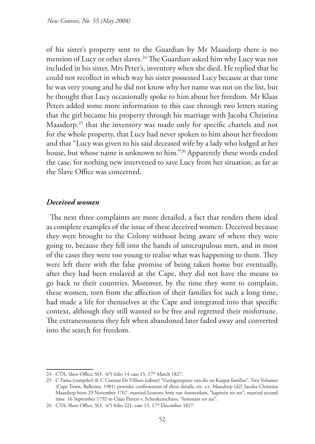of his sister's property sent to the Guardian by Mr Maasdorp there is no mention of Lucy or other slaves.24 The Guardian asked him why Lucy was not included in his sister, Mrs Peter's, inventory when she died. He replied that he could not recollect in which way his sister possessed Lucy because at that time he was very young and he did not know why her name was not on the list, but he thought that Lucy occasionally spoke to him about her freedom. Mr Klaas Peters added some more information to this case through two letters stating that the girl became his property through his marriage with Jacoba Christina Maasdorp,<sup>25</sup> that the inventory was made only for specific chattels and not for the whole property, that Lucy had never spoken to him about her freedom and that "Lucy was given to his said deceased wife by a lady who lodged at her house, but whose name is unknown to him."26 Apparently these words ended the case, for nothing new intervened to save Lucy from her situation, as far as the Slave Office was concerned.

### *Deceived women*

The next three complaints are more detailed, a fact that renders them ideal as complete examples of the issue of these deceived women. Deceived because they were brought to the Colony without being aware of where they were going to, because they fell into the hands of unscrupulous men, and in most of the cases they were too young to realise what was happening to them. They were left there with the false promise of being taken home but eventually, after they had been enslaved at the Cape, they did not have the means to go back to their countries. Moreover, by the time they went to complain, these women, torn from the affection of their families for such a long time, had made a life for themselves at the Cape and integrated into that specific context, although they still wanted to be free and regretted their misfortune. The extraneousness they felt when abandoned later faded away and converted into the search for freedom.

<sup>24</sup> CTA, Slave Office, SO, 4/5 folio 14 case 15, 17<sup>th</sup> March 1827.

<sup>25</sup> C Pama (compiler) & C Coetzee De Villiers (editor) "Geslagsregister van die ou Kaapse families", Two Volumes (Cape Town, Balkema, 1981) provides confirmation of these details, viz. s.v. Maasdorp [d2] Jacoba Christina Maasdorp born 29 November 1767, married Lourens Smit van Amsterdam, "kapitein ter zee", married second time 16 September 1792 to Claas Pieters v. Schenkenschans, "luitenant ter zee".

<sup>26</sup> CTA, Slave Office, SO, 4/5 folio 221, case 15, 17<sup>th</sup> December 1827.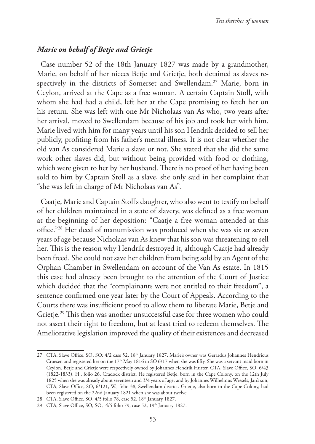### *Marie on behalf of Betje and Grietje*

Case number 52 of the 18th January 1827 was made by a grandmother, Marie, on behalf of her nieces Betje and Grietje, both detained as slaves respectively in the districts of Somerset and Swellendam.<sup>27</sup> Marie, born in Ceylon, arrived at the Cape as a free woman. A certain Captain Stoll, with whom she had had a child, left her at the Cape promising to fetch her on his return. She was left with one Mr Nicholaas van As who, two years after her arrival, moved to Swellendam because of his job and took her with him. Marie lived with him for many years until his son Hendrik decided to sell her publicly, profiting from his father's mental illness. It is not clear whether the old van As considered Marie a slave or not. She stated that she did the same work other slaves did, but without being provided with food or clothing, which were given to her by her husband. There is no proof of her having been sold to him by Captain Stoll as a slave, she only said in her complaint that "she was left in charge of Mr Nicholaas van As".

Caatje, Marie and Captain Stoll's daughter, who also went to testify on behalf of her children maintained in a state of slavery, was defined as a free woman at the beginning of her deposition: "Caatje a free woman attended at this office."28 Her deed of manumission was produced when she was six or seven years of age because Nicholaas van As knew that his son was threatening to sell her. This is the reason why Hendrik destroyed it, although Caatje had already been freed. She could not save her children from being sold by an Agent of the Orphan Chamber in Swellendam on account of the Van As estate. In 1815 this case had already been brought to the attention of the Court of Justice which decided that the "complainants were not entitled to their freedom", a sentence confirmed one year later by the Court of Appeals. According to the Courts there was insufficient proof to allow them to liberate Marie, Betje and Grietje.29 This then was another unsuccessful case for three women who could not assert their right to freedom, but at least tried to redeem themselves. The Ameliorative legislation improved the quality of their existences and decreased

<sup>27</sup> CTA, Slave Office, SO, SO: 4/2 case 52, 18th January 1827. Marie's owner was Gerardus Johannes Hendricus Croeser, and registered her on the 17<sup>th</sup> May 1816 in SO 6/17 when she was fifty. She was a servant maid born in Ceylon. Betje and Grietje were respectively owned by Johannes Hendrik Hurter, CTA, Slave Office, SO, 6/43 (1822-1833), H., folio 26, Cradock district. He registered Betje, born in the Cape Colony, on the 12th July 1825 when she was already about seventeen and 3/4 years of age; and by Johannes Wilhelmus Wessels, Jan's son, CTA, Slave Office, SO, 6/121, W., folio 38, Swellendam district. Grietje, also born in the Cape Colony, had been registered on the 22nd January 1821 when she was about twelve.

<sup>28</sup> CTA, Slave Office, SO, 4/5 folio 78, case 52, 18th January 1827.

<sup>29</sup> CTA, Slave Office, SO, SO, 4/5 folio 79, case 52, 19th January 1827.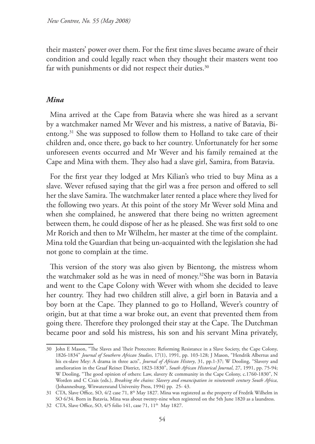their masters' power over them. For the first time slaves became aware of their condition and could legally react when they thought their masters went too far with punishments or did not respect their duties.<sup>30</sup>

#### *Mina*

Mina arrived at the Cape from Batavia where she was hired as a servant by a watchmaker named Mr Wever and his mistress, a native of Batavia, Bientong.31 She was supposed to follow them to Holland to take care of their children and, once there, go back to her country. Unfortunately for her some unforeseen events occurred and Mr Wever and his family remained at the Cape and Mina with them. They also had a slave girl, Samira, from Batavia.

For the first year they lodged at Mrs Kilian's who tried to buy Mina as a slave. Wever refused saying that the girl was a free person and offered to sell her the slave Samira. The watchmaker later rented a place where they lived for the following two years. At this point of the story Mr Wever sold Mina and when she complained, he answered that there being no written agreement between them, he could dispose of her as he pleased. She was first sold to one Mr Rorich and then to Mr Wilhelm, her master at the time of the complaint. Mina told the Guardian that being un-acquainted with the legislation she had not gone to complain at the time.

This version of the story was also given by Bientong, the mistress whom the watchmaker sold as he was in need of money.32She was born in Batavia and went to the Cape Colony with Wever with whom she decided to leave her country. They had two children still alive, a girl born in Batavia and a boy born at the Cape. They planned to go to Holland, Wever's country of origin, but at that time a war broke out, an event that prevented them from going there. Therefore they prolonged their stay at the Cape. The Dutchman became poor and sold his mistress, his son and his servant Mina privately,

<sup>30</sup> John E Mason, "The Slaves and Their Protectors: Reforming Resistance in a Slave Society, the Cape Colony, 1826-1834" *Journal of Southern African Studies*, 17(1), 1991, pp. 103-128; J Mason, "Hendrik Albertus and his ex-slave Mey: A drama in three acts", *Journal of African History*, 31, pp.1-37; W Dooling, "Slavery and amelioration in the Graaf Reinet District, 1823-1830", *South African Historical Journal*, 27, 1991, pp. 75-94; W Dooling, "The good opinion of others: Law, slavery & community in the Cape Colony, c.1760-1830", N Worden and C Crais (eds.), *Breaking the chains: Slavery and emancipation in nineteenth century South Africa*, (Johannesburg, Witwatersrand University Press, 1994) pp. 25- 43.

<sup>31</sup> CTA, Slave Office, SO, 4/2 case 71, 8th May 1827. Mina was registered as the property of Fredrik Wilhelm in SO 6/34. Born in Batavia, Mina was about twenty-nine when registered on the 5th June 1820 as a laundress.

<sup>32</sup> CTA, Slave Office, SO, 4/5 folio 141, case 71, 11<sup>th</sup> May 1827.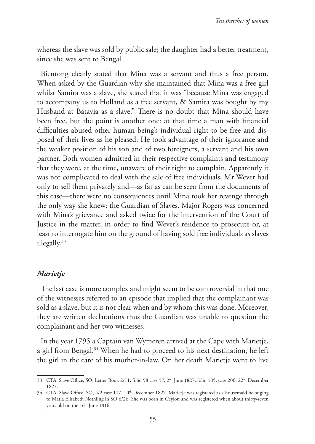whereas the slave was sold by public sale; the daughter had a better treatment, since she was sent to Bengal.

Bientong clearly stated that Mina was a servant and thus a free person. When asked by the Guardian why she maintained that Mina was a free girl whilst Samira was a slave, she stated that it was "because Mina was engaged to accompany us to Holland as a free servant, & Samira was bought by my Husband at Batavia as a slave." There is no doubt that Mina should have been free, but the point is another one: at that time a man with financial difficulties abused other human being's individual right to be free and disposed of their lives as he pleased. He took advantage of their ignorance and the weaker position of his son and of two foreigners, a servant and his own partner. Both women admitted in their respective complaints and testimony that they were, at the time, unaware of their right to complain. Apparently it was not complicated to deal with the sale of free individuals, Mr Wever had only to sell them privately and—as far as can be seen from the documents of this case—there were no consequences until Mina took her revenge through the only way she knew: the Guardian of Slaves. Major Rogers was concerned with Mina's grievance and asked twice for the intervention of the Court of Justice in the matter, in order to find Wever's residence to prosecute or, at least to interrogate him on the ground of having sold free individuals as slaves illegally.33

#### *Marietje*

The last case is more complex and might seem to be controversial in that one of the witnesses referred to an episode that implied that the complainant was sold as a slave, but it is not clear when and by whom this was done. Moreover, they are written declarations thus the Guardian was unable to question the complainant and her two witnesses.

In the year 1795 a Captain van Wymeren arrived at the Cape with Marietje, a girl from Bengal.34 When he had to proceed to his next destination, he left the girl in the care of his mother-in-law. On her death Marietje went to live

<sup>33</sup> CTA, Slave Office, SO, Letter Book 2/11, folio 98 case 97, 2<sup>nd</sup> June 1827; folio 185, case 206, 22<sup>nd</sup> December 1827.

<sup>34</sup> CTA, Slave Office, SO, 4/2 case 117, 10<sup>th</sup> December 1827. Marietje was registered as a housemaid belonging to Maria Elisabeth Nothling in SO 6/26. She was born in Ceylon and was registered when about thirty-seven years old on the 16<sup>th</sup> June 1816.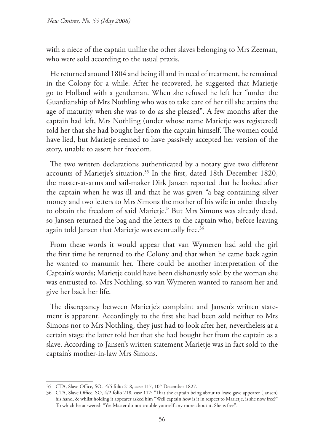with a niece of the captain unlike the other slaves belonging to Mrs Zeeman, who were sold according to the usual praxis.

He returned around 1804 and being ill and in need of treatment, he remained in the Colony for a while. After he recovered, he suggested that Marietje go to Holland with a gentleman. When she refused he left her "under the Guardianship of Mrs Nothling who was to take care of her till she attains the age of maturity when she was to do as she pleased". A few months after the captain had left, Mrs Nothling (under whose name Marietje was registered) told her that she had bought her from the captain himself. The women could have lied, but Marietje seemed to have passively accepted her version of the story, unable to assert her freedom.

The two written declarations authenticated by a notary give two different accounts of Marietje's situation.<sup>35</sup> In the first, dated 18th December 1820, the master-at-arms and sail-maker Dirk Jansen reported that he looked after the captain when he was ill and that he was given "a bag containing silver money and two letters to Mrs Simons the mother of his wife in order thereby to obtain the freedom of said Marietje." But Mrs Simons was already dead, so Jansen returned the bag and the letters to the captain who, before leaving again told Jansen that Marietje was eventually free.<sup>36</sup>

From these words it would appear that van Wymeren had sold the girl the first time he returned to the Colony and that when he came back again he wanted to manumit her. There could be another interpretation of the Captain's words; Marietje could have been dishonestly sold by the woman she was entrusted to, Mrs Nothling, so van Wymeren wanted to ransom her and give her back her life.

The discrepancy between Marietje's complaint and Jansen's written statement is apparent. Accordingly to the first she had been sold neither to Mrs Simons nor to Mrs Nothling, they just had to look after her, nevertheless at a certain stage the latter told her that she had bought her from the captain as a slave. According to Jansen's written statement Marietje was in fact sold to the captain's mother-in-law Mrs Simons.

<sup>35</sup> CTA, Slave Office, SO, 4/5 folio 218, case 117, 10<sup>th</sup> December 1827.

<sup>36</sup> CTA, Slave Office, SO, 4/2 folio 218, case 117: "That the captain being about to leave gave appearer (Jansen) his hand, & whilst holding it appearer asked him "Well captain how is it in respect to Marietje, is she now free?" To which he answered: "Yes Master do not trouble yourself any more about it. She is free".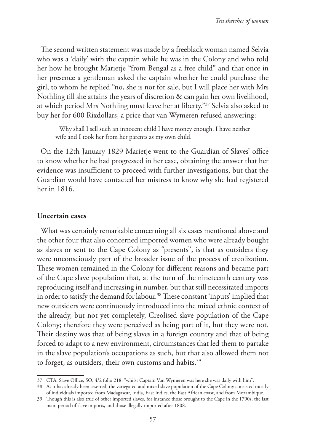The second written statement was made by a freeblack woman named Selvia who was a 'daily' with the captain while he was in the Colony and who told her how he brought Marietje "from Bengal as a free child" and that once in her presence a gentleman asked the captain whether he could purchase the girl, to whom he replied "no, she is not for sale, but I will place her with Mrs Nothling till she attains the years of discretion & can gain her own livelihood, at which period Mrs Nothling must leave her at liberty."37 Selvia also asked to buy her for 600 Rixdollars, a price that van Wymeren refused answering:

Why shall I sell such an innocent child I have money enough. I have neither wife and I took her from her parents as my own child.

On the 12th January 1829 Marietje went to the Guardian of Slaves' office to know whether he had progressed in her case, obtaining the answer that her evidence was insufficient to proceed with further investigations, but that the Guardian would have contacted her mistress to know why she had registered her in 1816.

#### **Uncertain cases**

What was certainly remarkable concerning all six cases mentioned above and the other four that also concerned imported women who were already bought as slaves or sent to the Cape Colony as "presents", is that as outsiders they were unconsciously part of the broader issue of the process of creolization. These women remained in the Colony for different reasons and became part of the Cape slave population that, at the turn of the nineteenth century was reproducing itself and increasing in number, but that still necessitated imports in order to satisfy the demand for labour.<sup>38</sup> These constant 'inputs' implied that new outsiders were continuously introduced into the mixed ethnic context of the already, but not yet completely, Creolised slave population of the Cape Colony; therefore they were perceived as being part of it, but they were not. Their destiny was that of being slaves in a foreign country and that of being forced to adapt to a new environment, circumstances that led them to partake in the slave population's occupations as such, but that also allowed them not to forget, as outsiders, their own customs and habits.<sup>39</sup>

<sup>37</sup> CTA, Slave Office, SO, 4/2 folio 218: "whilst Captain Van Wymeren was here she was daily with him".

<sup>38</sup> As it has already been asserted, the variegated and mixed slave population of the Cape Colony consisted mostly of individuals imported from Madagascar, India, East Indies, the East African coast, and from Mozambique.

<sup>39</sup> Though this is also true of other imported slaves, for instance those brought to the Cape in the 1790s, the last main period of slave imports, and those illegally imported after 1808.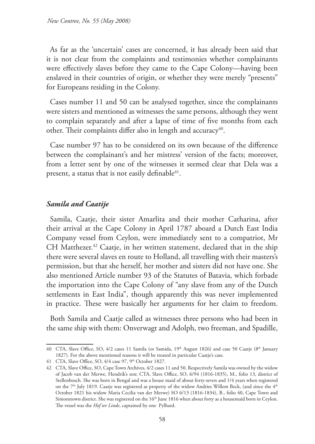As far as the 'uncertain' cases are concerned, it has already been said that it is not clear from the complaints and testimonies whether complainants were effectively slaves before they came to the Cape Colony—having been enslaved in their countries of origin, or whether they were merely "presents" for Europeans residing in the Colony.

Cases number 11 and 50 can be analysed together, since the complainants were sisters and mentioned as witnesses the same persons, although they went to complain separately and after a lapse of time of five months from each other. Their complaints differ also in length and accuracy<sup>40</sup>.

Case number 97 has to be considered on its own because of the difference between the complainant's and her mistress' version of the facts; moreover, from a letter sent by one of the witnesses it seemed clear that Dela was a present, a status that is not easily definable  $41$ .

### *Samila and Caatije*

Samila, Caatje, their sister Amarlita and their mother Catharina, after their arrival at the Cape Colony in April 1787 aboard a Dutch East India Company vessel from Ceylon, were immediately sent to a compatriot, Mr CH Matthezer.<sup>42</sup> Caatje, in her written statement, declared that in the ship there were several slaves en route to Holland, all travelling with their masters's permission, but that she herself, her mother and sisters did not have one. She also mentioned Article number 93 of the Statutes of Batavia, which forbade the importation into the Cape Colony of "any slave from any of the Dutch settlements in East India", though apparently this was never implemented in practice. These were basically her arguments for her claim to freedom.

Both Samila and Caatje called as witnesses three persons who had been in the same ship with them: Onverwagt and Adolph, two freeman, and Spadille,

<sup>40</sup> CTA, Slave Office, SO, 4/2 cases 11 Samila (or Samida, 19<sup>th</sup> August 1826) and case 50 Caatje (8<sup>th</sup> January 1827). For the above mentioned reasons it will be treated in particular Caatje's case.

<sup>41</sup> CTA, Slave Office, SO, 4/4 case 97, 9th October 1827.

<sup>42</sup> CTA, Slave Office, SO, Cape Town Archives, 4/2 cases 11 and 50. Respectively Samila was owned by the widow of Jacob van der Merwe, Hendrik's son; CTA, Slave Office, SO, 6/94 (1816-1835), M., folio 13, district of Stellenbosch. She was born in Bengal and was a house maid of about forty-seven and 1/4 years when registered on the 7<sup>th</sup> July 1819. Caatje was registered as property of the widow Andries Willem Beck, (and since the 4<sup>th</sup> October 1821 his widow Maria Cecilia van der Merwe) SO 6/13 (1816-1834), B., folio 40, Cape Town and Simonstown district. She was registered on the 16<sup>th</sup> June 1816 when about forty as a housemaid born in Ceylon. The vessel was the *Hof ter Linde*, captained by one Pylhard.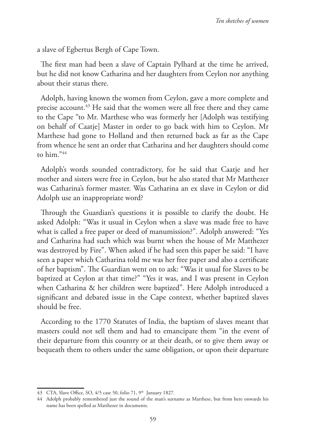a slave of Egbertus Bergh of Cape Town.

The first man had been a slave of Captain Pylhard at the time he arrived, but he did not know Catharina and her daughters from Ceylon nor anything about their status there.

Adolph, having known the women from Ceylon, gave a more complete and precise account.43 He said that the women were all free there and they came to the Cape "to Mr. Marthese who was formerly her [Adolph was testifying on behalf of Caatje] Master in order to go back with him to Ceylon. Mr Marthese had gone to Holland and then returned back as far as the Cape from whence he sent an order that Catharina and her daughters should come to him."44

Adolph's words sounded contradictory, for he said that Caatje and her mother and sisters were free in Ceylon, but he also stated that Mr Matthezer was Catharina's former master. Was Catharina an ex slave in Ceylon or did Adolph use an inappropriate word?

Through the Guardian's questions it is possible to clarify the doubt. He asked Adolph: "Was it usual in Ceylon when a slave was made free to have what is called a free paper or deed of manumission?". Adolph answered: "Yes and Catharina had such which was burnt when the house of Mr Matthezer was destroyed by Fire". When asked if he had seen this paper he said: "I have seen a paper which Catharina told me was her free paper and also a certificate of her baptism". The Guardian went on to ask: "Was it usual for Slaves to be baptized at Ceylon at that time?" "Yes it was, and I was present in Ceylon when Catharina & her children were baptized". Here Adolph introduced a significant and debated issue in the Cape context, whether baptized slaves should be free.

According to the 1770 Statutes of India, the baptism of slaves meant that masters could not sell them and had to emancipate them "in the event of their departure from this country or at their death, or to give them away or bequeath them to others under the same obligation, or upon their departure

<sup>43</sup> CTA, Slave Office, SO, 4/5 case 50, folio 71, 9<sup>th</sup> January 1827.

<sup>44</sup> Adolph probably remembered just the sound of the man's surname as Marthese, but from here onwards his name has been spelled as Matthezer in documents.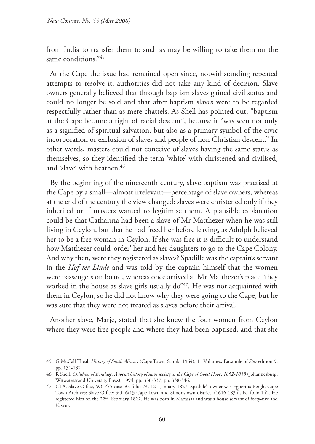from India to transfer them to such as may be willing to take them on the same conditions<sup>"45</sup>

At the Cape the issue had remained open since, notwithstanding repeated attempts to resolve it, authorities did not take any kind of decision. Slave owners generally believed that through baptism slaves gained civil status and could no longer be sold and that after baptism slaves were to be regarded respectfully rather than as mere chattels. As Shell has pointed out, "baptism at the Cape became a right of racial descent", because it "was seen not only as a signified of spiritual salvation, but also as a primary symbol of the civic incorporation or exclusion of slaves and people of non Christian descent." In other words, masters could not conceive of slaves having the same status as themselves, so they identified the term 'white' with christened and civilised, and 'slave' with heathen.<sup>46</sup>

By the beginning of the nineteenth century, slave baptism was practised at the Cape by a small—almost irrelevant—percentage of slave owners, whereas at the end of the century the view changed: slaves were christened only if they inherited or if masters wanted to legitimise them. A plausible explanation could be that Catharina had been a slave of Mr Matthezer when he was still living in Ceylon, but that he had freed her before leaving, as Adolph believed her to be a free woman in Ceylon. If she was free it is difficult to understand how Matthezer could 'order' her and her daughters to go to the Cape Colony. And why then, were they registered as slaves? Spadille was the captain's servant in the *Hof ter Linde* and was told by the captain himself that the women were passengers on board, whereas once arrived at Mr Matthezer's place "they worked in the house as slave girls usually do<sup>"47</sup>. He was not acquainted with them in Ceylon, so he did not know why they were going to the Cape, but he was sure that they were not treated as slaves before their arrival.

Another slave, Marje, stated that she knew the four women from Ceylon where they were free people and where they had been baptised, and that she

<sup>45</sup> G McCall Theal, *History of South Africa* , (Cape Town, Struik, 1964), 11 Volumes, Facsimile of *Star* edition 9, pp. 131-132.

<sup>46</sup> R Shell, *Children of Bondage: A social history of slave society at the Cape of Good Hope, 1652-1838* (Johannesburg, Witwatersrand University Press), 1994, pp. 336-337; pp. 338-346.

<sup>47</sup> CTA, Slave Office, SO, 4/5 case 50, folio 73, 12th January 1827. Spadille's owner was Egbertus Bergh, Cape Town Archives: Slave Office: SO: 6/13 Cape Town and Simonstown district. (1616-1834), B., folio 142. He registered him on the 22<sup>nd</sup> February 1822. He was born in Macassar and was a house servant of forty-five and ½ year.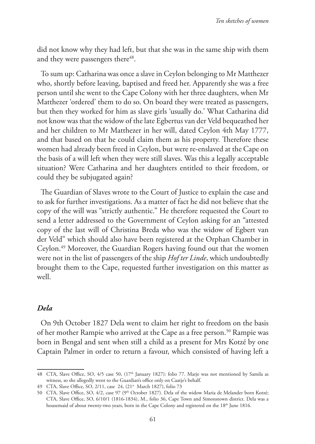did not know why they had left, but that she was in the same ship with them and they were passengers there<sup>48</sup>.

To sum up: Catharina was once a slave in Ceylon belonging to Mr Matthezer who, shortly before leaving, baptised and freed her. Apparently she was a free person until she went to the Cape Colony with her three daughters, when Mr Matthezer 'ordered' them to do so. On board they were treated as passengers, but then they worked for him as slave girls 'usually do.' What Catharina did not know was that the widow of the late Egbertus van der Veld bequeathed her and her children to Mr Matthezer in her will, dated Ceylon 4th May 1777, and that based on that he could claim them as his property. Therefore these women had already been freed in Ceylon, but were re-enslaved at the Cape on the basis of a will left when they were still slaves. Was this a legally acceptable situation? Were Catharina and her daughters entitled to their freedom, or could they be subjugated again?

The Guardian of Slaves wrote to the Court of Justice to explain the case and to ask for further investigations. As a matter of fact he did not believe that the copy of the will was "strictly authentic." He therefore requested the Court to send a letter addressed to the Government of Ceylon asking for an "attested copy of the last will of Christina Breda who was the widow of Egbert van der Veld" which should also have been registered at the Orphan Chamber in Ceylon.49 Moreover, the Guardian Rogers having found out that the women were not in the list of passengers of the ship *Hof ter Linde*, which undoubtedly brought them to the Cape, requested further investigation on this matter as well.

## *Dela*

On 9th October 1827 Dela went to claim her right to freedom on the basis of her mother Rampie who arrived at the Cape as a free person.<sup>50</sup> Rampie was born in Bengal and sent when still a child as a present for Mrs Kotzé by one Captain Palmer in order to return a favour, which consisted of having left a

<sup>48</sup> CTA, Slave Office, SO, 4/5 case 50, (17<sup>th</sup> January 1827): folio 77. Marje was not mentioned by Samila as witness, so she allegedly went to the Guardian's office only on Caatje's behalf.

<sup>49</sup> CTA, Slave Office, SO, 2/11, case 24, (21<sup>st</sup> March 1827), folio 73

<sup>50</sup> CTA, Slave Office, SO, 4/2, case 97 (9th October 1827). Dela of the widow Maria de Melander born Kotzé; CTA, Slave Office, SO, 6/10/1 (1816-1834), M., folio 36, Cape Town and Simonstown district. Dela was a housemaid of about twenty-two years, born in the Cape Colony and registered on the 18th June 1816.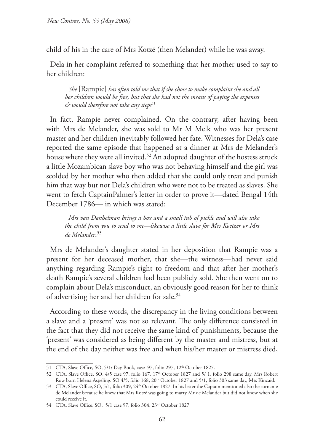child of his in the care of Mrs Kotzé (then Melander) while he was away.

Dela in her complaint referred to something that her mother used to say to her children:

*She* [Rampie] *has often told me that if she chose to make complaint she and all her children would be free, but that she had not the means of paying the expenses & would therefore not take any steps*<sup>51</sup>

In fact, Rampie never complained. On the contrary, after having been with Mrs de Melander, she was sold to Mr M Melk who was her present master and her children inevitably followed her fate. Witnesses for Dela's case reported the same episode that happened at a dinner at Mrs de Melander's house where they were all invited.<sup>52</sup> An adopted daughter of the hostess struck a little Mozambican slave boy who was not behaving himself and the girl was scolded by her mother who then added that she could only treat and punish him that way but not Dela's children who were not to be treated as slaves. She went to fetch CaptainPalmer's letter in order to prove it—dated Bengal 14th December 1786— in which was stated:

*Mrs van Danhelman brings a box and a small tub of pickle and will also take the child from you to send to me—likewise a little slave for Mrs Koetzer or Mrs de Melander*. 53

Mrs de Melander's daughter stated in her deposition that Rampie was a present for her deceased mother, that she—the witness—had never said anything regarding Rampie's right to freedom and that after her mother's death Rampie's several children had been publicly sold. She then went on to complain about Dela's misconduct, an obviously good reason for her to think of advertising her and her children for sale.<sup>54</sup>

According to these words, the discrepancy in the living conditions between a slave and a 'present' was not so relevant. The only difference consisted in the fact that they did not receive the same kind of punishments, because the 'present' was considered as being different by the master and mistress, but at the end of the day neither was free and when his/her master or mistress died,

<sup>51</sup> CTA, Slave Office, SO, 5/1: Day Book, case 97, folio 297, 12<sup>th</sup> October 1827.

<sup>52</sup> CTA, Slave Office, SO, 4/5 case 97, folio 167, 17<sup>th</sup> October 1827 and 5/ 1, folio 298 same day, Mrs Robert Row born Helena Aspeling. SO 4/5, folio 168, 20<sup>th</sup> October 1827 and 5/1, folio 303 same day, Mrs Kincaid.

<sup>53</sup> CTA, Slave Office, SO, 5/1, folio 309, 24<sup>th</sup> October 1827. In his letter the Captain mentioned also the surname de Melander because he knew that Mrs Kotzé was going to marry Mr de Melander but did not know when she could receive it.

<sup>54</sup> CTA, Slave Office, SO, 5/1 case 97, folio 304, 23rd October 1827.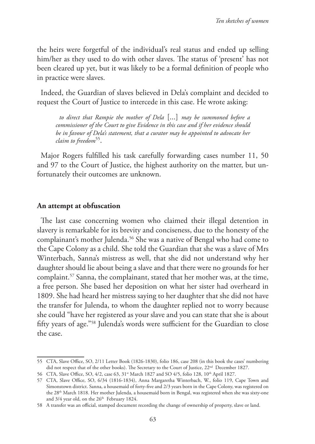the heirs were forgetful of the individual's real status and ended up selling him/her as they used to do with other slaves. The status of 'present' has not been cleared up yet, but it was likely to be a formal definition of people who in practice were slaves.

Indeed, the Guardian of slaves believed in Dela's complaint and decided to request the Court of Justice to intercede in this case. He wrote asking:

*to direct that Rampie the mother of Dela* [...] *may be summoned before a commissioner of the Court to give Evidence in this case and if her evidence should be in favour of Dela's statement, that a curator may be appointed to advocate her claim to freedom*55.

Major Rogers fulfilled his task carefully forwarding cases number 11, 50 and 97 to the Court of Justice, the highest authority on the matter, but unfortunately their outcomes are unknown.

#### **An attempt at obfuscation**

The last case concerning women who claimed their illegal detention in slavery is remarkable for its brevity and conciseness, due to the honesty of the complainant's mother Julenda.<sup>56</sup> She was a native of Bengal who had come to the Cape Colony as a child. She told the Guardian that she was a slave of Mrs Winterbach, Sanna's mistress as well, that she did not understand why her daughter should lie about being a slave and that there were no grounds for her complaint.57 Sanna, the complainant, stated that her mother was, at the time, a free person. She based her deposition on what her sister had overheard in 1809. She had heard her mistress saying to her daughter that she did not have the transfer for Julenda, to whom the daughter replied not to worry because she could "have her registered as your slave and you can state that she is about fifty years of age."58 Julenda's words were sufficient for the Guardian to close the case.

<sup>55</sup> CTA, Slave Office, SO, 2/11 Letter Book (1826-1830), folio 186, case 208 (in this book the cases' numbering did not respect that of the other books). The Secretary to the Court of Justice, 22<sup>nd</sup> December 1827.

<sup>56</sup> CTA, Slave Office, SO, 4/2, case 63, 31<sup>st</sup> March 1827 and SO 4/5, folio 128, 10<sup>th</sup> April 1827.

<sup>57</sup> CTA, Slave Office, SO, 6/34 (1816-1834), Anna Margaretha Winterbach, W., folio 119, Cape Town and Simonstown district. Sanna, a housemaid of forty-five and 2/3 years born in the Cape Colony, was registered on the 28<sup>th</sup> March 1818. Her mother Julenda, a housemaid born in Bengal, was registered when she was sixty-one and 3/4 year old, on the 26<sup>th</sup> February 1824.

<sup>58</sup> A transfer was an official, stamped document recording the change of ownership of property, slave or land.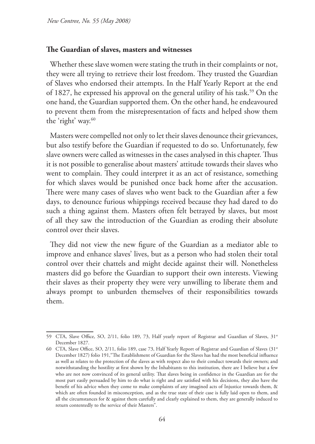#### **The Guardian of slaves, masters and witnesses**

Whether these slave women were stating the truth in their complaints or not, they were all trying to retrieve their lost freedom. They trusted the Guardian of Slaves who endorsed their attempts. In the Half Yearly Report at the end of 1827, he expressed his approval on the general utility of his task.59 On the one hand, the Guardian supported them. On the other hand, he endeavoured to prevent them from the misrepresentation of facts and helped show them the 'right' way.<sup>60</sup>

Masters were compelled not only to let their slaves denounce their grievances, but also testify before the Guardian if requested to do so. Unfortunately, few slave owners were called as witnesses in the cases analysed in this chapter. Thus it is not possible to generalise about masters' attitude towards their slaves who went to complain. They could interpret it as an act of resistance, something for which slaves would be punished once back home after the accusation. There were many cases of slaves who went back to the Guardian after a few days, to denounce furious whippings received because they had dared to do such a thing against them. Masters often felt betrayed by slaves, but most of all they saw the introduction of the Guardian as eroding their absolute control over their slaves.

They did not view the new figure of the Guardian as a mediator able to improve and enhance slaves' lives, but as a person who had stolen their total control over their chattels and might decide against their will. Nonetheless masters did go before the Guardian to support their own interests. Viewing their slaves as their property they were very unwilling to liberate them and always prompt to unburden themselves of their responsibilities towards them.

<sup>59</sup> CTA, Slave Office, SO, 2/11, folio 189, 73, Half yearly report of Registrar and Guardian of Slaves, 31<sup>st</sup> December 1827.

<sup>60</sup> CTA, Slave Office, SO, 2/11, folio 189, case 73, Half Yearly Report of Registrar and Guardian of Slaves (31<sup>st</sup>) December 1827) folio 191,"The Establishment of Guardian for the Slaves has had the most beneficial influence as well as relates to the protection of the slaves as with respect also to their conduct towards their owners; and notwithstanding the hostility at first shown by the Inhabitants to this institution, there are I believe but a few who are not now convinced of its general utility. That slaves being in confidence in the Guardian are for the most part easily persuaded by him to do what is right and are satisfied with his decisions, they also have the benefit of his advice when they come to make complaints of any imagined acts of Injustice towards them, & which are often founded in misconception, and as the true state of their case is fully laid open to them, and all the circumstances for & against them carefully and clearly explained to them, they are generally induced to return contentedly to the service of their Masters".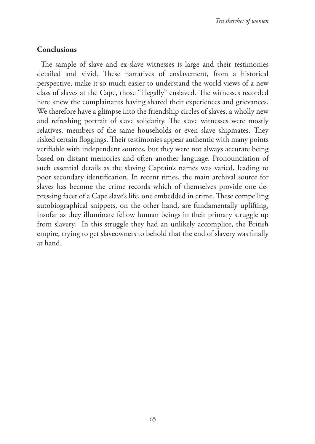## **Conclusions**

The sample of slave and ex-slave witnesses is large and their testimonies detailed and vivid. These narratives of enslavement, from a historical perspective, make it so much easier to understand the world views of a new class of slaves at the Cape, those "illegally" enslaved. The witnesses recorded here knew the complainants having shared their experiences and grievances. We therefore have a glimpse into the friendship circles of slaves, a wholly new and refreshing portrait of slave solidarity. The slave witnesses were mostly relatives, members of the same households or even slave shipmates. They risked certain floggings. Their testimonies appear authentic with many points verifiable with independent sources, but they were not always accurate being based on distant memories and often another language. Pronounciation of such essential details as the slaving Captain's names was varied, leading to poor secondary identification. In recent times, the main archival source for slaves has become the crime records which of themselves provide one depressing facet of a Cape slave's life, one embedded in crime. These compelling autobiographical snippets, on the other hand, are fundamentally uplifting, insofar as they illuminate fellow human beings in their primary struggle up from slavery. In this struggle they had an unlikely accomplice, the British empire, trying to get slaveowners to behold that the end of slavery was finally at hand.